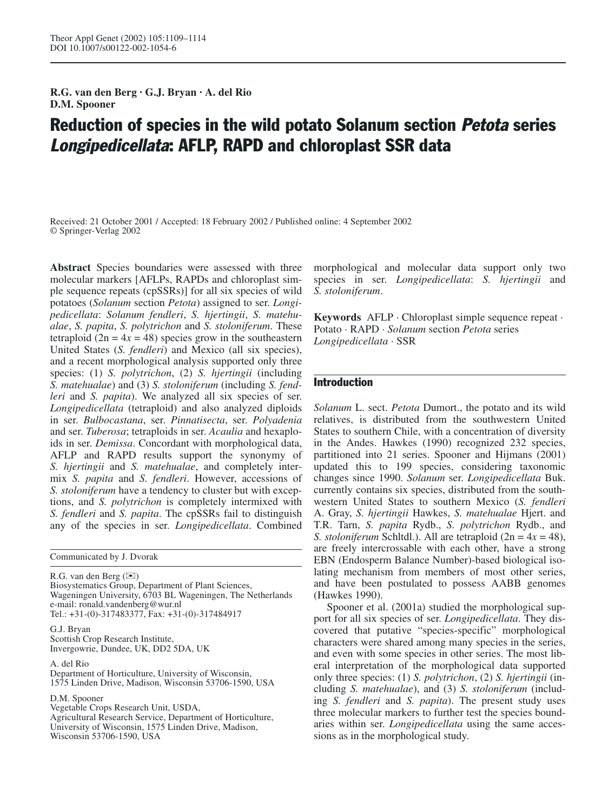**R.G. van den Berg · G.J. Bryan · A. del Rio D.M. Spooner**

# Reduction of species in the wild potato Solanum section Petota series Longipedicellata: AFLP, RAPD and chloroplast SSR data

Received: 21 October 2001 / Accepted: 18 February 2002 / Published online: 4 September 2002 © Springer-Verlag 2002

**Abstract** Species boundaries were assessed with three molecular markers [AFLPs, RAPDs and chloroplast simple sequence repeats (cpSSRs)] for all six species of wild potatoes (*Solanum* section *Petota*) assigned to ser. *Longipedicellata*: *Solanum fendleri*, *S. hjertingii*, *S. matehualae*, *S. papita*, *S. polytrichon* and *S. stoloniferum*. These tetraploid  $(2n = 4x = 48)$  species grow in the southeastern United States (*S. fendleri*) and Mexico (all six species), and a recent morphological analysis supported only three species: (1) *S. polytrichon*, (2) *S. hjertingii* (including *S. matehualae*) and (3) *S. stoloniferum* (including *S. fendleri* and *S. papita*). We analyzed all six species of ser. *Longipedicellata* (tetraploid) and also analyzed diploids in ser. *Bulbocastana*, ser. *Pinnatisecta*, ser. *Polyadenia* and ser. *Tuberosa*; tetraploids in ser. *Acaulia* and hexaploids in ser. *Demissa*. Concordant with morphological data, AFLP and RAPD results support the synonymy of *S. hjertingii* and *S. matehualae*, and completely intermix *S. papita* and *S. fendleri*. However, accessions of *S. stoloniferum* have a tendency to cluster but with exceptions, and *S. polytrichon* is completely intermixed with *S. fendleri* and *S. papita*. The cpSSRs fail to distinguish any of the species in ser. *Longipedicellata*. Combined

Communicated by J. Dvorak

R.G. van den Berg  $(\mathbb{X})$ Biosystematics Group, Department of Plant Sciences, Wageningen University, 6703 BL Wageningen, The Netherlands e-mail: ronald.vandenberg@wur.nl Tel.: +31-(0)-317483377, Fax: +31-(0)-317484917

G.J. Bryan Scottish Crop Research Institute, Invergowrie, Dundee, UK, DD2 5DA, UK

A. del Rio Department of Horticulture, University of Wisconsin, 1575 Linden Drive, Madison, Wisconsin 53706-1590, USA

D.M. Spooner

Vegetable Crops Research Unit, USDA, Agricultural Research Service, Department of Horticulture, University of Wisconsin, 1575 Linden Drive, Madison, Wisconsin 53706-1590, USA

morphological and molecular data support only two species in ser. *Longipedicellata*: *S. hjertingii* and *S. stoloniferum*.

**Keywords** AFLP · Chloroplast simple sequence repeat · Potato · RAPD · *Solanum* section *Petota* series *Longipedicellata* · SSR

## Introduction

*Solanum* L. sect. *Petota* Dumort., the potato and its wild relatives, is distributed from the southwestern United States to southern Chile, with a concentration of diversity in the Andes. Hawkes (1990) recognized 232 species, partitioned into 21 series. Spooner and Hijmans (2001) updated this to 199 species, considering taxonomic changes since 1990. *Solanum* ser. *Longipedicellata* Buk. currently contains six species, distributed from the southwestern United States to southern Mexico (*S. fendleri* A. Gray, *S. hjertingii* Hawkes, *S. matehualae* Hjert. and T.R. Tarn, *S. papita* Rydb., *S. polytrichon* Rydb., and *S. stoloniferum* Schltdl.). All are tetraploid (2n = 4*x* = 48), are freely intercrossable with each other, have a strong EBN (Endosperm Balance Number)-based biological isolating mechanism from members of most other series, and have been postulated to possess AABB genomes (Hawkes 1990).

Spooner et al. (2001a) studied the morphological support for all six species of ser. *Longipedicellata*. They discovered that putative "species-specific" morphological characters were shared among many species in the series, and even with some species in other series. The most liberal interpretation of the morphological data supported only three species: (1) *S. polytrichon*, (2) *S. hjertingii* (including *S. matehualae*), and (3) *S. stoloniferum* (including *S. fendleri* and *S. papita*). The present study uses three molecular markers to further test the species boundaries within ser. *Longipedicellata* using the same accessions as in the morphological study.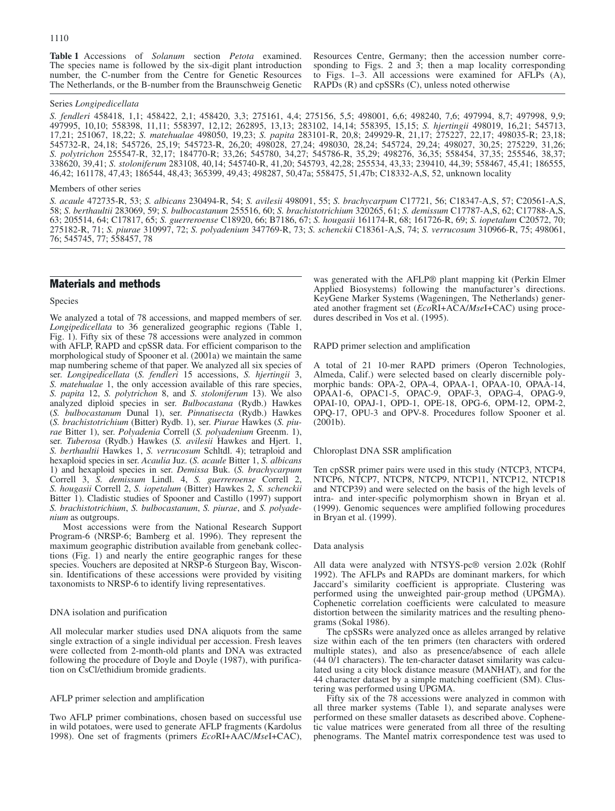**Table 1** Accessions of *Solanum* section *Petota* examined. The species name is followed by the six-digit plant introduction number, the C-number from the Centre for Genetic Resources The Netherlands, or the B-number from the Braunschweig Genetic Resources Centre, Germany; then the accession number corresponding to Figs. 2 and 3; then a map locality corresponding to Figs. 1–3. All accessions were examined for AFLPs (A),  $RAP\overline{D}s$  (R) and cpSSRs (C), unless noted otherwise

#### Series *Longipedicellata*

*S. fendleri* 458418, 1,1; 458422, 2,1; 458420, 3,3; 275161, 4,4; 275156, 5,5; 498001, 6,6; 498240, 7,6; 497994, 8,7; 497998, 9,9; 497995, 10,10; 558398, 11,11; 558397, 12,12; 262895, 13,13; 283102, 14,14; 558395, 15,15; *S. hjertingii* 498019, 16,21; 545713, 17,21; 251067, 18,22; *S. matehualae* 498050, 19,23; *S. papita* 283101-R, 20,8; 249929-R, 21,17; 275227, 22,17; 498035-R; 23,18; 545732-R, 24,18; 545726, 25,19; 545723-R, 26,20; 498028, 27,24; 498030, 28,24; 545724, 29,24; 498027, 30,25; 275229, 31,26; *S. polytrichon* 255547-R, 32,17; 184770-R; 33,26; 545780, 34,27; 545786-R, 35,29; 498276, 36,35; 558454, 37,35; 255546, 38,37; 338620, 39,41; *S. stoloniferum* 283108, 40,14; 545740-R, 41,20; 545793, 42,28; 255534, 43,33; 239410, 44,39; 558467, 45,41; 186555, 46,42; 161178, 47,43; 186544, 48,43; 365399, 49,43; 498287, 50,47a; 558475, 51,47b; C18332-A,S, 52, unknown locality

#### Members of other series

*S. acaule* 472735-R, 53; *S. albicans* 230494-R, 54; *S. avilesii* 498091, 55; *S. brachycarpum* C17721, 56; C18347-A,S, 57; C20561-A,S, 58; *S. berthaultii* 283069, 59; *S. bulbocastanum* 255516, 60; *S. brachistotrichium* 320265, 61; *S. demissum* C17787-A,S, 62; C17788-A,S, 63; 205514, 64; C17817, 65; *S. guerreroense* C18920, 66; B7186, 67; *S. hougasii* 161174-R, 68; 161726-R, 69; *S. iopetalum* C20572, 70; 275182-R, 71; *S. piurae* 310997, 72; *S. polyadenium* 347769-R, 73; *S. schenckii* C18361-A,S, 74; *S. verrucosum* 310966-R, 75; 498061, 76; 545745, 77; 558457, 78

### Materials and methods

#### Species

We analyzed a total of 78 accessions, and mapped members of ser. *Longipedicellata* to 36 generalized geographic regions (Table 1, Fig. 1). Fifty six of these 78 accessions were analyzed in common with AFLP, RAPD and cpSSR data. For efficient comparison to the morphological study of Spooner et al. (2001a) we maintain the same map numbering scheme of that paper. We analyzed all six species of ser. *Longipedicellata* (*S. fendleri* 15 accessions, *S. hjertingii* 3, *S. matehualae* 1, the only accession available of this rare species, *S. papita* 12, *S. polytrichon* 8, and *S. stoloniferum* 13). We also analyzed diploid species in ser. *Bulbocastana* (Rydb.) Hawkes (*S. bulbocastanum* Dunal 1), ser. *Pinnatisecta* (Rydb.) Hawkes (*S. brachistotrichium* (Bitter) Rydb. 1), ser. *Piurae* Hawkes (*S. piurae* Bitter 1), ser. *Polyadenia* Correll (*S. polyadenium* Greenm. 1), ser. *Tuberosa* (Rydb.) Hawkes (*S. avilesii* Hawkes and Hjert. 1, *S. berthaultii* Hawkes 1, *S. verrucosum* Schltdl. 4); tetraploid and hexaploid species in ser. *Acaulia* Juz. (*S. acaule* Bitter 1, *S. albicans* 1) and hexaploid species in ser. *Demissa* Buk. (*S. brachycarpum* Correll 3, *S. demissum* Lindl. 4, *S. guerreroense* Correll 2, *S. hougasii* Correll 2, *S. iopetalum* (Bitter) Hawkes 2, *S. schenckii* Bitter 1). Cladistic studies of Spooner and Castillo (1997) support *S. brachistotrichium*, *S. bulbocastanum*, *S. piurae*, and *S. polyadenium* as outgroups.

Most accessions were from the National Research Support Program-6 (NRSP-6; Bamberg et al. 1996). They represent the maximum geographic distribution available from genebank collections (Fig. 1) and nearly the entire geographic ranges for these species. Vouchers are deposited at NRSP-6 Sturgeon Bay, Wisconsin. Identifications of these accessions were provided by visiting taxonomists to NRSP-6 to identify living representatives.

#### DNA isolation and purification

All molecular marker studies used DNA aliquots from the same single extraction of a single individual per accession. Fresh leaves were collected from 2-month-old plants and DNA was extracted following the procedure of Doyle and Doyle (1987), with purification on CsCl/ethidium bromide gradients.

#### AFLP primer selection and amplification

Two AFLP primer combinations, chosen based on successful use in wild potatoes, were used to generate AFLP fragments (Kardolus 1998). One set of fragments (primers *Eco*RI+AAC/*Mse*I+CAC),

was generated with the AFLP® plant mapping kit (Perkin Elmer Applied Biosystems) following the manufacturer's directions. KeyGene Marker Systems (Wageningen, The Netherlands) generated another fragment set (*Eco*RI+ACA/*Mse*I+CAC) using procedures described in Vos et al. (1995).

#### RAPD primer selection and amplification

A total of 21 10-mer RAPD primers (Operon Technologies, Almeda, Calif.) were selected based on clearly discernible polymorphic bands: OPA-2, OPA-4, OPAA-1, OPAA-10, OPAA-14, OPAA1-6, OPAC1-5, OPAC-9, OPAF-3, OPAG-4, OPAG-9, OPAI-10, OPAJ-1, OPD-1, OPE-18, OPG-6, OPM-12, OPM-2, OPQ-17, OPU-3 and OPV-8. Procedures follow Spooner et al. (2001b).

#### Chloroplast DNA SSR amplification

Ten cpSSR primer pairs were used in this study (NTCP3, NTCP4, NTCP6, NTCP7, NTCP8, NTCP9, NTCP11, NTCP12, NTCP18 and NTCP39) and were selected on the basis of the high levels of intra- and inter-specific polymorphism shown in Bryan et al. (1999). Genomic sequences were amplified following procedures in Bryan et al. (1999).

#### Data analysis

All data were analyzed with NTSYS-pc® version 2.02k (Rohlf 1992). The AFLPs and RAPDs are dominant markers, for which Jaccard's similarity coefficient is appropriate. Clustering was performed using the unweighted pair-group method (UPGMA). Cophenetic correlation coefficients were calculated to measure distortion between the similarity matrices and the resulting phenograms (Sokal 1986).

The cpSSRs were analyzed once as alleles arranged by relative size within each of the ten primers (ten characters with ordered multiple states), and also as presence/absence of each allele (44 0/1 characters). The ten-character dataset similarity was calculated using a city block distance measure (MANHAT), and for the 44 character dataset by a simple matching coefficient (SM). Clustering was performed using UPGMA.

Fifty six of the 78 accessions were analyzed in common with all three marker systems (Table 1), and separate analyses were performed on these smaller datasets as described above. Cophenetic value matrices were generated from all three of the resulting phenograms. The Mantel matrix correspondence test was used to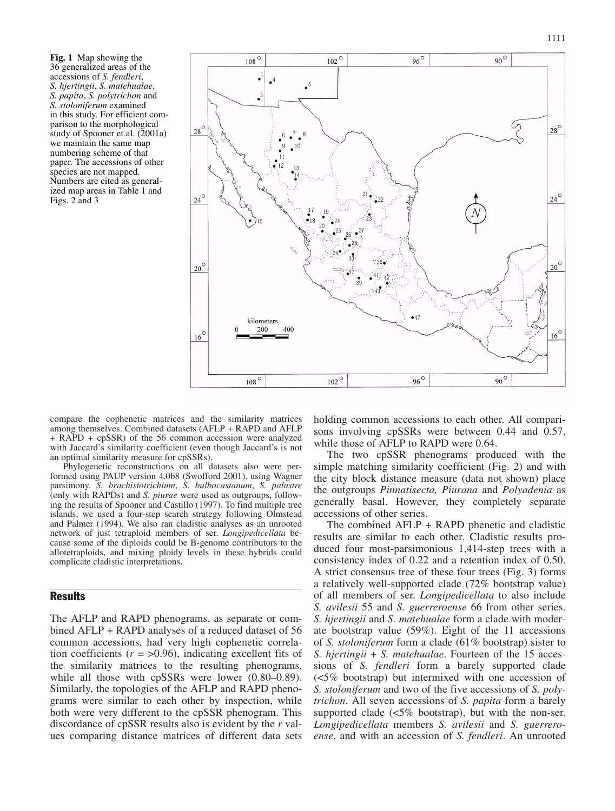**Fig. 1** Map showing the 36 generalized areas of the accessions of *S. fendleri*, *S. hjertingii*, *S. matehualae*, *S. papita*, *S. polytrichon* and *S. stoloniferum* examined in this study. For efficient comparison to the morphological study of Spooner et al. (2001a) we maintain the same map numbering scheme of that paper. The accessions of other species are not mapped. Numbers are cited as generalized map areas in Table 1 and Figs. 2 and 3



compare the cophenetic matrices and the similarity matrices among themselves. Combined datasets (AFLP + RAPD and AFLP + RAPD + cpSSR) of the 56 common accession were analyzed with Jaccard's similarity coefficient (even though Jaccard's is not an optimal similarity measure for cpSSRs).

Phylogenetic reconstructions on all datasets also were performed using PAUP version 4.0b8 (Swofford 2001), using Wagner parsimony. *S. brachistotrichium*, *S. bulbocastanum*, *S. palustre* (only with RAPDs) and *S. piurae* were used as outgroups, following the results of Spooner and Castillo (1997). To find multiple tree islands, we used a four-step search strategy following Olmstead and Palmer (1994). We also ran cladistic analyses as an unrooted network of just tetraploid members of ser. *Longipedicellata* because some of the diploids could be B-genome contributors to the allotetraploids, and mixing ploidy levels in these hybrids could complicate cladistic interpretations.

## **Results**

The AFLP and RAPD phenograms, as separate or combined AFLP + RAPD analyses of a reduced dataset of 56 common accessions, had very high cophenetic correlation coefficients  $(r = >0.96)$ , indicating excellent fits of the similarity matrices to the resulting phenograms, while all those with cpSSRs were lower  $(0.80-0.89)$ . Similarly, the topologies of the AFLP and RAPD phenograms were similar to each other by inspection, while both were very different to the cpSSR phenogram. This discordance of cpSSR results also is evident by the *r* values comparing distance matrices of different data sets holding common accessions to each other. All comparisons involving cpSSRs were between 0.44 and 0.57, while those of AFLP to RAPD were 0.64.

The two cpSSR phenograms produced with the simple matching similarity coefficient (Fig. 2) and with the city block distance measure (data not shown) place the outgroups *Pinnatisecta, Piurana* and *Polyadenia* as generally basal. However, they completely separate accessions of other series.

The combined AFLP + RAPD phenetic and cladistic results are similar to each other. Cladistic results produced four most-parsimonious 1,414-step trees with a consistency index of 0.22 and a retention index of 0.50. A strict consensus tree of these four trees (Fig. 3) forms a relatively well-supported clade (72% bootstrap value) of all members of ser. *Longipedicellata* to also include *S. avilesii* 55 and *S. guerreroense* 66 from other series. *S. hjertingii* and *S. matehualae* form a clade with moderate bootstrap value (59%). Eight of the 11 accessions of *S. stoloniferum* form a clade (61% bootstrap) sister to *S. hjertingii* + *S. matehualae*. Fourteen of the 15 accessions of *S. fendleri* form a barely supported clade (<5% bootstrap) but intermixed with one accession of *S. stoloniferum* and two of the five accessions of *S. polytrichon*. All seven accessions of *S. papita* form a barely supported clade  $\langle 5\%$  bootstrap), but with the non-ser. *Longipedicellata* members *S. avilesii* and *S. guerreroense*, and with an accession of *S. fendleri*. An unrooted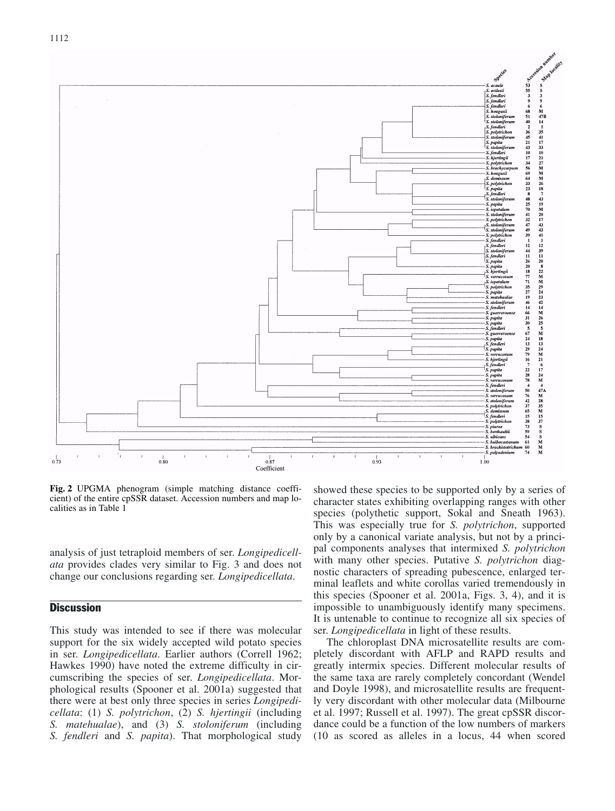

**Fig. 2** UPGMA phenogram (simple matching distance coefficient) of the entire cpSSR dataset. Accession numbers and map localities as in Table 1

analysis of just tetraploid members of ser. *Longipedicellata* provides clades very similar to Fig. 3 and does not change our conclusions regarding ser. *Longipedicellata*.

## **Discussion**

This study was intended to see if there was molecular support for the six widely accepted wild potato species in ser. *Longipedicellata*. Earlier authors (Correll 1962; Hawkes 1990) have noted the extreme difficulty in circumscribing the species of ser. *Longipedicellata*. Morphological results (Spooner et al. 2001a) suggested that there were at best only three species in series *Longipedicellata*: (1) *S. polytrichon*, (2) *S. hjertingii* (including *S. matehualae*), and (3) *S. stoloniferum* (including *S. fendleri* and *S. papita*). That morphological study

showed these species to be supported only by a series of character states exhibiting overlapping ranges with other species (polythetic support, Sokal and Sneath 1963). This was especially true for *S. polytrichon*, supported only by a canonical variate analysis, but not by a principal components analyses that intermixed *S. polytrichon* with many other species. Putative *S. polytrichon* diagnostic characters of spreading pubescence, enlarged terminal leaflets and white corollas varied tremendously in this species (Spooner et al. 2001a, Figs. 3, 4), and it is impossible to unambiguously identify many specimens. It is untenable to continue to recognize all six species of ser. *Longipedicellata* in light of these results.

The chloroplast DNA microsatellite results are completely discordant with AFLP and RAPD results and greatly intermix species. Different molecular results of the same taxa are rarely completely concordant (Wendel and Doyle 1998), and microsatellite results are frequently very discordant with other molecular data (Milbourne et al. 1997; Russell et al. 1997). The great cpSSR discordance could be a function of the low numbers of markers (10 as scored as alleles in a locus, 44 when scored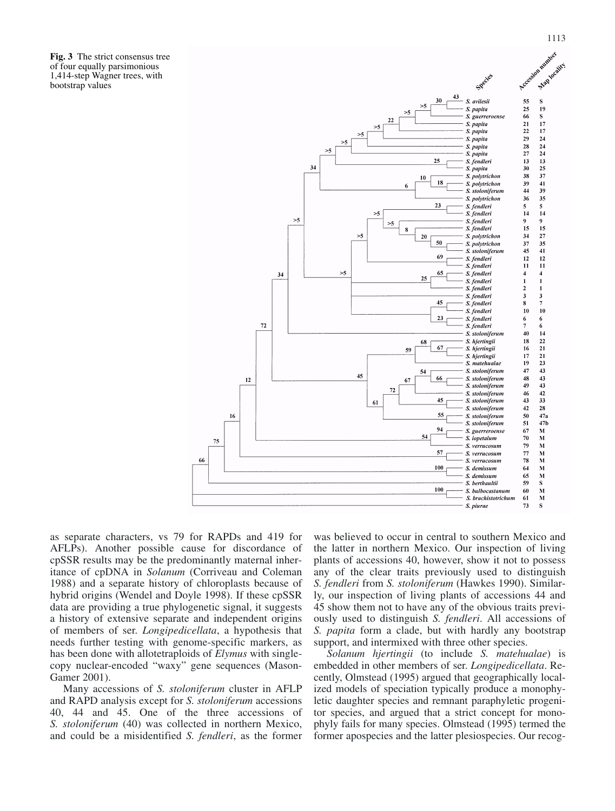**Fig. 3** The strict consensus tree of four equally parsimonious 1,414-step Wagner trees, with bootstrap values



as separate characters, vs 79 for RAPDs and 419 for AFLPs). Another possible cause for discordance of cpSSR results may be the predominantly maternal inheritance of cpDNA in *Solanum* (Corriveau and Coleman 1988) and a separate history of chloroplasts because of hybrid origins (Wendel and Doyle 1998). If these cpSSR data are providing a true phylogenetic signal, it suggests a history of extensive separate and independent origins of members of ser. *Longipedicellata*, a hypothesis that needs further testing with genome-specific markers, as has been done with allotetraploids of *Elymus* with singlecopy nuclear-encoded "waxy" gene sequences (Mason-Gamer 2001).

Many accessions of *S. stoloniferum* cluster in AFLP and RAPD analysis except for *S. stoloniferum* accessions 40, 44 and 45. One of the three accessions of *S. stoloniferum* (40) was collected in northern Mexico, and could be a misidentified *S. fendleri*, as the former was believed to occur in central to southern Mexico and the latter in northern Mexico. Our inspection of living plants of accessions 40, however, show it not to possess any of the clear traits previously used to distinguish *S. fendleri* from *S. stoloniferum* (Hawkes 1990). Similarly, our inspection of living plants of accessions 44 and 45 show them not to have any of the obvious traits previously used to distinguish *S. fendleri*. All accessions of *S. papita* form a clade, but with hardly any bootstrap support, and intermixed with three other species.

*Solanum hjertingii* (to include *S. matehualae*) is embedded in other members of ser. *Longipedicellata*. Recently, Olmstead (1995) argued that geographically localized models of speciation typically produce a monophyletic daughter species and remnant paraphyletic progenitor species, and argued that a strict concept for monophyly fails for many species. Olmstead (1995) termed the former apospecies and the latter plesiospecies. Our recog